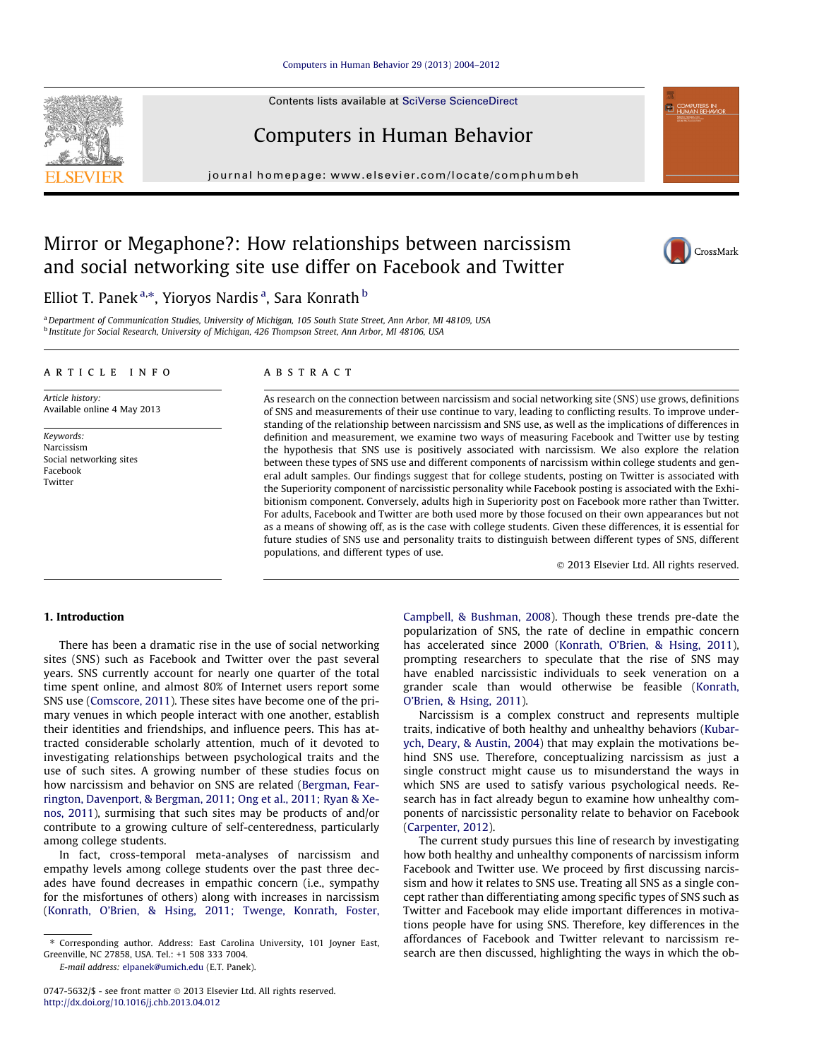#### Computers in Human Behavior 29 (2013) 2004–2012

Contents lists available at SciVerse ScienceDirect



journal homepage: www.elsevier.com/locate/comphumbeh

# Mirror or Megaphone?: How relationships between narcissism and social networking site use differ on Facebook and Twitter



a Department of Communication Studies, University of Michigan, 105 South State Street, Ann Arbor, MI 48109, USA <sup>b</sup> Institute for Social Research, University of Michigan, 426 Thompson Street, Ann Arbor, MI 48106, USA

#### article info

Available online 4 May 2013

Social networking sites

Article history:

Keywords: Narcissism

Facebook Twitter

**ABSTRACT** 

As research on the connection between narcissism and social networking site (SNS) use grows, definitions of SNS and measurements of their use continue to vary, leading to conflicting results. To improve understanding of the relationship between narcissism and SNS use, as well as the implications of differences in definition and measurement, we examine two ways of measuring Facebook and Twitter use by testing the hypothesis that SNS use is positively associated with narcissism. We also explore the relation between these types of SNS use and different components of narcissism within college students and general adult samples. Our findings suggest that for college students, posting on Twitter is associated with the Superiority component of narcissistic personality while Facebook posting is associated with the Exhibitionism component. Conversely, adults high in Superiority post on Facebook more rather than Twitter. For adults, Facebook and Twitter are both used more by those focused on their own appearances but not as a means of showing off, as is the case with college students. Given these differences, it is essential for future studies of SNS use and personality traits to distinguish between different types of SNS, different populations, and different types of use.

 $©$  2013 Elsevier Ltd. All rights reserved.

## 1. Introduction

There has been a dramatic rise in the use of social networking sites (SNS) such as Facebook and Twitter over the past several years. SNS currently account for nearly one quarter of the total time spent online, and almost 80% of Internet users report some SNS use (Comscore, 2011). These sites have become one of the primary venues in which people interact with one another, establish their identities and friendships, and influence peers. This has attracted considerable scholarly attention, much of it devoted to investigating relationships between psychological traits and the use of such sites. A growing number of these studies focus on how narcissism and behavior on SNS are related (Bergman, Fearrington, Davenport, & Bergman, 2011; Ong et al., 2011; Ryan & Xenos, 2011), surmising that such sites may be products of and/or contribute to a growing culture of self-centeredness, particularly among college students.

In fact, cross-temporal meta-analyses of narcissism and empathy levels among college students over the past three decades have found decreases in empathic concern (i.e., sympathy for the misfortunes of others) along with increases in narcissism (Konrath, O'Brien, & Hsing, 2011; Twenge, Konrath, Foster,

E-mail address: elpanek@umich.edu (E.T. Panek).

Campbell, & Bushman, 2008). Though these trends pre-date the popularization of SNS, the rate of decline in empathic concern has accelerated since 2000 (Konrath, O'Brien, & Hsing, 2011), prompting researchers to speculate that the rise of SNS may have enabled narcissistic individuals to seek veneration on a grander scale than would otherwise be feasible (Konrath, O'Brien, & Hsing, 2011).

Narcissism is a complex construct and represents multiple traits, indicative of both healthy and unhealthy behaviors (Kubarych, Deary, & Austin, 2004) that may explain the motivations behind SNS use. Therefore, conceptualizing narcissism as just a single construct might cause us to misunderstand the ways in which SNS are used to satisfy various psychological needs. Research has in fact already begun to examine how unhealthy components of narcissistic personality relate to behavior on Facebook (Carpenter, 2012).

The current study pursues this line of research by investigating how both healthy and unhealthy components of narcissism inform Facebook and Twitter use. We proceed by first discussing narcissism and how it relates to SNS use. Treating all SNS as a single concept rather than differentiating among specific types of SNS such as Twitter and Facebook may elide important differences in motivations people have for using SNS. Therefore, key differences in the affordances of Facebook and Twitter relevant to narcissism research are then discussed, highlighting the ways in which the ob-





<sup>⇑</sup> Corresponding author. Address: East Carolina University, 101 Joyner East, Greenville, NC 27858, USA. Tel.: +1 508 333 7004.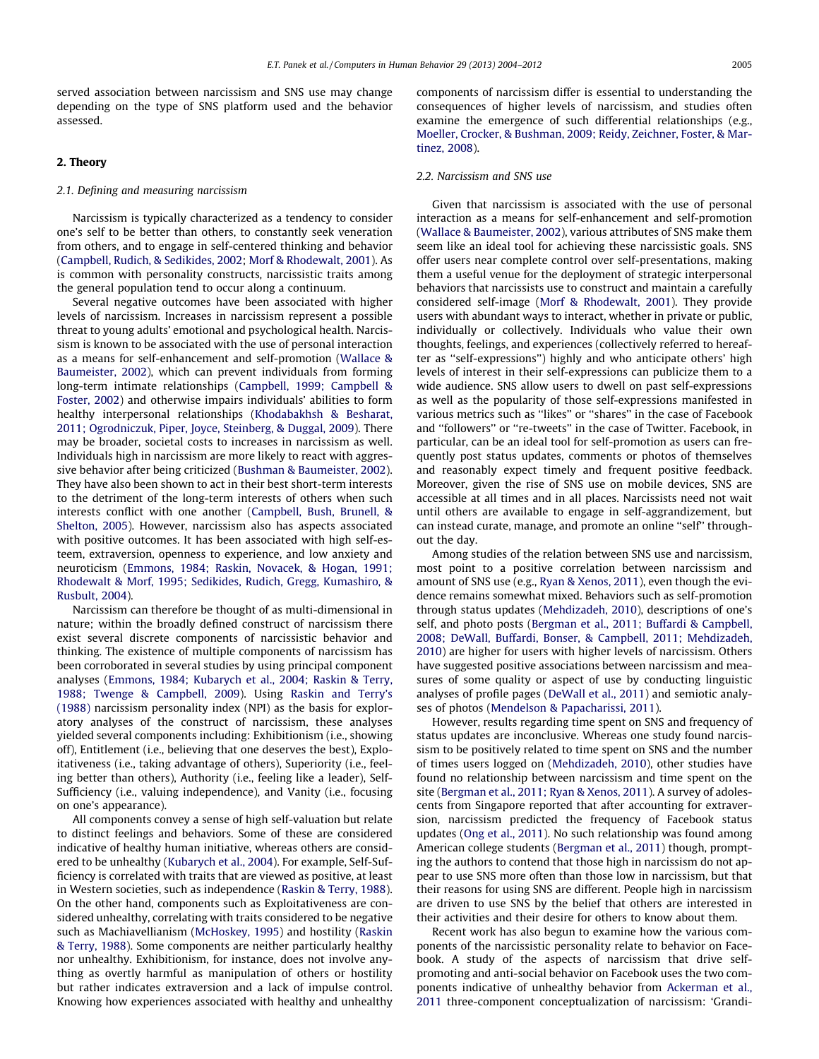served association between narcissism and SNS use may change depending on the type of SNS platform used and the behavior assessed.

# 2. Theory

# 2.1. Defining and measuring narcissism

Narcissism is typically characterized as a tendency to consider one's self to be better than others, to constantly seek veneration from others, and to engage in self-centered thinking and behavior (Campbell, Rudich, & Sedikides, 2002; Morf & Rhodewalt, 2001). As is common with personality constructs, narcissistic traits among the general population tend to occur along a continuum.

Several negative outcomes have been associated with higher levels of narcissism. Increases in narcissism represent a possible threat to young adults' emotional and psychological health. Narcissism is known to be associated with the use of personal interaction as a means for self-enhancement and self-promotion (Wallace & Baumeister, 2002), which can prevent individuals from forming long-term intimate relationships (Campbell, 1999; Campbell & Foster, 2002) and otherwise impairs individuals' abilities to form healthy interpersonal relationships (Khodabakhsh & Besharat, 2011; Ogrodniczuk, Piper, Joyce, Steinberg, & Duggal, 2009). There may be broader, societal costs to increases in narcissism as well. Individuals high in narcissism are more likely to react with aggressive behavior after being criticized (Bushman & Baumeister, 2002). They have also been shown to act in their best short-term interests to the detriment of the long-term interests of others when such interests conflict with one another (Campbell, Bush, Brunell, & Shelton, 2005). However, narcissism also has aspects associated with positive outcomes. It has been associated with high self-esteem, extraversion, openness to experience, and low anxiety and neuroticism (Emmons, 1984; Raskin, Novacek, & Hogan, 1991; Rhodewalt & Morf, 1995; Sedikides, Rudich, Gregg, Kumashiro, & Rusbult, 2004).

Narcissism can therefore be thought of as multi-dimensional in nature; within the broadly defined construct of narcissism there exist several discrete components of narcissistic behavior and thinking. The existence of multiple components of narcissism has been corroborated in several studies by using principal component analyses (Emmons, 1984; Kubarych et al., 2004; Raskin & Terry, 1988; Twenge & Campbell, 2009). Using Raskin and Terry's (1988) narcissism personality index (NPI) as the basis for exploratory analyses of the construct of narcissism, these analyses yielded several components including: Exhibitionism (i.e., showing off), Entitlement (i.e., believing that one deserves the best), Exploitativeness (i.e., taking advantage of others), Superiority (i.e., feeling better than others), Authority (i.e., feeling like a leader), Self-Sufficiency (i.e., valuing independence), and Vanity (i.e., focusing on one's appearance).

All components convey a sense of high self-valuation but relate to distinct feelings and behaviors. Some of these are considered indicative of healthy human initiative, whereas others are considered to be unhealthy (Kubarych et al., 2004). For example, Self-Sufficiency is correlated with traits that are viewed as positive, at least in Western societies, such as independence (Raskin & Terry, 1988). On the other hand, components such as Exploitativeness are considered unhealthy, correlating with traits considered to be negative such as Machiavellianism (McHoskey, 1995) and hostility (Raskin & Terry, 1988). Some components are neither particularly healthy nor unhealthy. Exhibitionism, for instance, does not involve anything as overtly harmful as manipulation of others or hostility but rather indicates extraversion and a lack of impulse control. Knowing how experiences associated with healthy and unhealthy components of narcissism differ is essential to understanding the consequences of higher levels of narcissism, and studies often examine the emergence of such differential relationships (e.g., Moeller, Crocker, & Bushman, 2009; Reidy, Zeichner, Foster, & Martinez, 2008).

## 2.2. Narcissism and SNS use

Given that narcissism is associated with the use of personal interaction as a means for self-enhancement and self-promotion (Wallace & Baumeister, 2002), various attributes of SNS make them seem like an ideal tool for achieving these narcissistic goals. SNS offer users near complete control over self-presentations, making them a useful venue for the deployment of strategic interpersonal behaviors that narcissists use to construct and maintain a carefully considered self-image (Morf & Rhodewalt, 2001). They provide users with abundant ways to interact, whether in private or public, individually or collectively. Individuals who value their own thoughts, feelings, and experiences (collectively referred to hereafter as ''self-expressions'') highly and who anticipate others' high levels of interest in their self-expressions can publicize them to a wide audience. SNS allow users to dwell on past self-expressions as well as the popularity of those self-expressions manifested in various metrics such as ''likes'' or ''shares'' in the case of Facebook and ''followers'' or ''re-tweets'' in the case of Twitter. Facebook, in particular, can be an ideal tool for self-promotion as users can frequently post status updates, comments or photos of themselves and reasonably expect timely and frequent positive feedback. Moreover, given the rise of SNS use on mobile devices, SNS are accessible at all times and in all places. Narcissists need not wait until others are available to engage in self-aggrandizement, but can instead curate, manage, and promote an online ''self'' throughout the day.

Among studies of the relation between SNS use and narcissism, most point to a positive correlation between narcissism and amount of SNS use (e.g., Ryan & Xenos, 2011), even though the evidence remains somewhat mixed. Behaviors such as self-promotion through status updates (Mehdizadeh, 2010), descriptions of one's self, and photo posts (Bergman et al., 2011; Buffardi & Campbell, 2008; DeWall, Buffardi, Bonser, & Campbell, 2011; Mehdizadeh, 2010) are higher for users with higher levels of narcissism. Others have suggested positive associations between narcissism and measures of some quality or aspect of use by conducting linguistic analyses of profile pages (DeWall et al., 2011) and semiotic analyses of photos (Mendelson & Papacharissi, 2011).

However, results regarding time spent on SNS and frequency of status updates are inconclusive. Whereas one study found narcissism to be positively related to time spent on SNS and the number of times users logged on (Mehdizadeh, 2010), other studies have found no relationship between narcissism and time spent on the site (Bergman et al., 2011; Ryan & Xenos, 2011). A survey of adolescents from Singapore reported that after accounting for extraversion, narcissism predicted the frequency of Facebook status updates (Ong et al., 2011). No such relationship was found among American college students (Bergman et al., 2011) though, prompting the authors to contend that those high in narcissism do not appear to use SNS more often than those low in narcissism, but that their reasons for using SNS are different. People high in narcissism are driven to use SNS by the belief that others are interested in their activities and their desire for others to know about them.

Recent work has also begun to examine how the various components of the narcissistic personality relate to behavior on Facebook. A study of the aspects of narcissism that drive selfpromoting and anti-social behavior on Facebook uses the two components indicative of unhealthy behavior from Ackerman et al., 2011 three-component conceptualization of narcissism: 'Grandi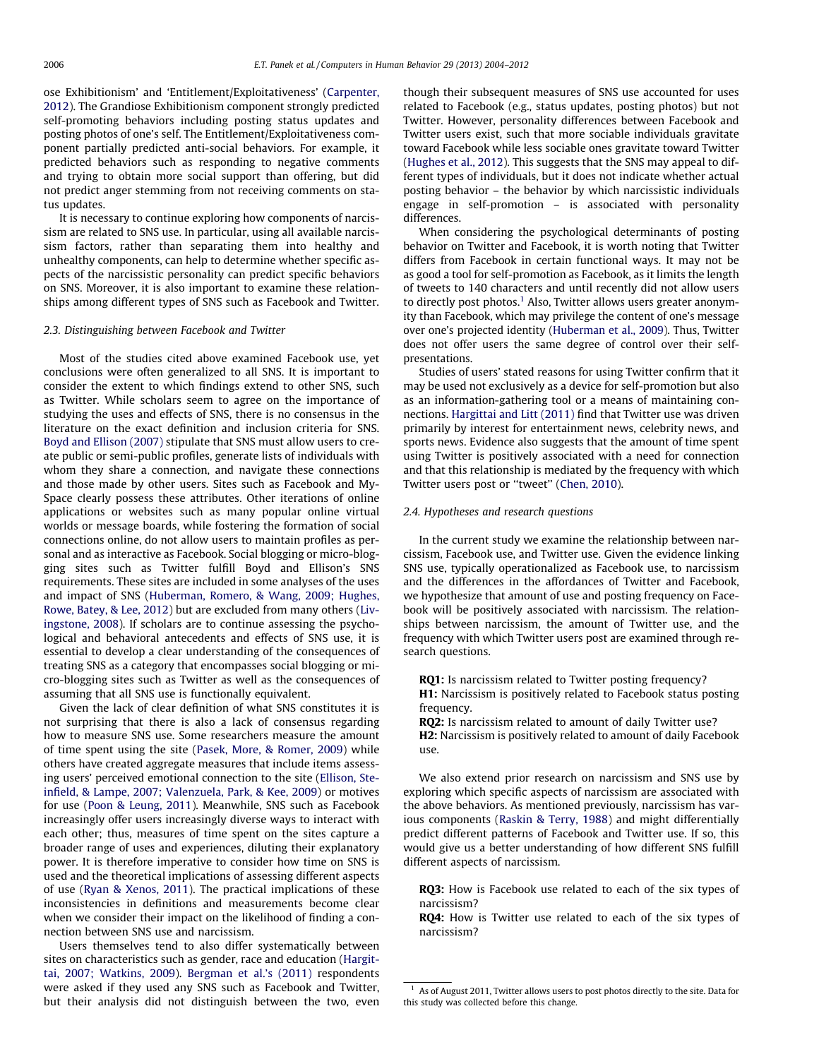ose Exhibitionism' and 'Entitlement/Exploitativeness' (Carpenter, 2012). The Grandiose Exhibitionism component strongly predicted self-promoting behaviors including posting status updates and posting photos of one's self. The Entitlement/Exploitativeness component partially predicted anti-social behaviors. For example, it predicted behaviors such as responding to negative comments and trying to obtain more social support than offering, but did not predict anger stemming from not receiving comments on status updates.

It is necessary to continue exploring how components of narcissism are related to SNS use. In particular, using all available narcissism factors, rather than separating them into healthy and unhealthy components, can help to determine whether specific aspects of the narcissistic personality can predict specific behaviors on SNS. Moreover, it is also important to examine these relationships among different types of SNS such as Facebook and Twitter.

## 2.3. Distinguishing between Facebook and Twitter

Most of the studies cited above examined Facebook use, yet conclusions were often generalized to all SNS. It is important to consider the extent to which findings extend to other SNS, such as Twitter. While scholars seem to agree on the importance of studying the uses and effects of SNS, there is no consensus in the literature on the exact definition and inclusion criteria for SNS. Boyd and Ellison (2007) stipulate that SNS must allow users to create public or semi-public profiles, generate lists of individuals with whom they share a connection, and navigate these connections and those made by other users. Sites such as Facebook and My-Space clearly possess these attributes. Other iterations of online applications or websites such as many popular online virtual worlds or message boards, while fostering the formation of social connections online, do not allow users to maintain profiles as personal and as interactive as Facebook. Social blogging or micro-blogging sites such as Twitter fulfill Boyd and Ellison's SNS requirements. These sites are included in some analyses of the uses and impact of SNS (Huberman, Romero, & Wang, 2009; Hughes, Rowe, Batey, & Lee, 2012) but are excluded from many others (Livingstone, 2008). If scholars are to continue assessing the psychological and behavioral antecedents and effects of SNS use, it is essential to develop a clear understanding of the consequences of treating SNS as a category that encompasses social blogging or micro-blogging sites such as Twitter as well as the consequences of assuming that all SNS use is functionally equivalent.

Given the lack of clear definition of what SNS constitutes it is not surprising that there is also a lack of consensus regarding how to measure SNS use. Some researchers measure the amount of time spent using the site (Pasek, More, & Romer, 2009) while others have created aggregate measures that include items assessing users' perceived emotional connection to the site (Ellison, Steinfield, & Lampe, 2007; Valenzuela, Park, & Kee, 2009) or motives for use (Poon & Leung, 2011). Meanwhile, SNS such as Facebook increasingly offer users increasingly diverse ways to interact with each other; thus, measures of time spent on the sites capture a broader range of uses and experiences, diluting their explanatory power. It is therefore imperative to consider how time on SNS is used and the theoretical implications of assessing different aspects of use (Ryan & Xenos, 2011). The practical implications of these inconsistencies in definitions and measurements become clear when we consider their impact on the likelihood of finding a connection between SNS use and narcissism.

Users themselves tend to also differ systematically between sites on characteristics such as gender, race and education (Hargittai, 2007; Watkins, 2009). Bergman et al.'s (2011) respondents were asked if they used any SNS such as Facebook and Twitter, but their analysis did not distinguish between the two, even though their subsequent measures of SNS use accounted for uses related to Facebook (e.g., status updates, posting photos) but not Twitter. However, personality differences between Facebook and Twitter users exist, such that more sociable individuals gravitate toward Facebook while less sociable ones gravitate toward Twitter (Hughes et al., 2012). This suggests that the SNS may appeal to different types of individuals, but it does not indicate whether actual posting behavior – the behavior by which narcissistic individuals engage in self-promotion – is associated with personality differences.

When considering the psychological determinants of posting behavior on Twitter and Facebook, it is worth noting that Twitter differs from Facebook in certain functional ways. It may not be as good a tool for self-promotion as Facebook, as it limits the length of tweets to 140 characters and until recently did not allow users to directly post photos.<sup>1</sup> Also, Twitter allows users greater anonymity than Facebook, which may privilege the content of one's message over one's projected identity (Huberman et al., 2009). Thus, Twitter does not offer users the same degree of control over their selfpresentations.

Studies of users' stated reasons for using Twitter confirm that it may be used not exclusively as a device for self-promotion but also as an information-gathering tool or a means of maintaining connections. Hargittai and Litt (2011) find that Twitter use was driven primarily by interest for entertainment news, celebrity news, and sports news. Evidence also suggests that the amount of time spent using Twitter is positively associated with a need for connection and that this relationship is mediated by the frequency with which Twitter users post or "tweet" (Chen, 2010).

## 2.4. Hypotheses and research questions

In the current study we examine the relationship between narcissism, Facebook use, and Twitter use. Given the evidence linking SNS use, typically operationalized as Facebook use, to narcissism and the differences in the affordances of Twitter and Facebook, we hypothesize that amount of use and posting frequency on Facebook will be positively associated with narcissism. The relationships between narcissism, the amount of Twitter use, and the frequency with which Twitter users post are examined through research questions.

RQ1: Is narcissism related to Twitter posting frequency? H1: Narcissism is positively related to Facebook status posting frequency.

RQ2: Is narcissism related to amount of daily Twitter use? H2: Narcissism is positively related to amount of daily Facebook use.

We also extend prior research on narcissism and SNS use by exploring which specific aspects of narcissism are associated with the above behaviors. As mentioned previously, narcissism has various components (Raskin & Terry, 1988) and might differentially predict different patterns of Facebook and Twitter use. If so, this would give us a better understanding of how different SNS fulfill different aspects of narcissism.

RQ3: How is Facebook use related to each of the six types of narcissism?

RQ4: How is Twitter use related to each of the six types of narcissism?

 $1$  As of August 2011, Twitter allows users to post photos directly to the site. Data for this study was collected before this change.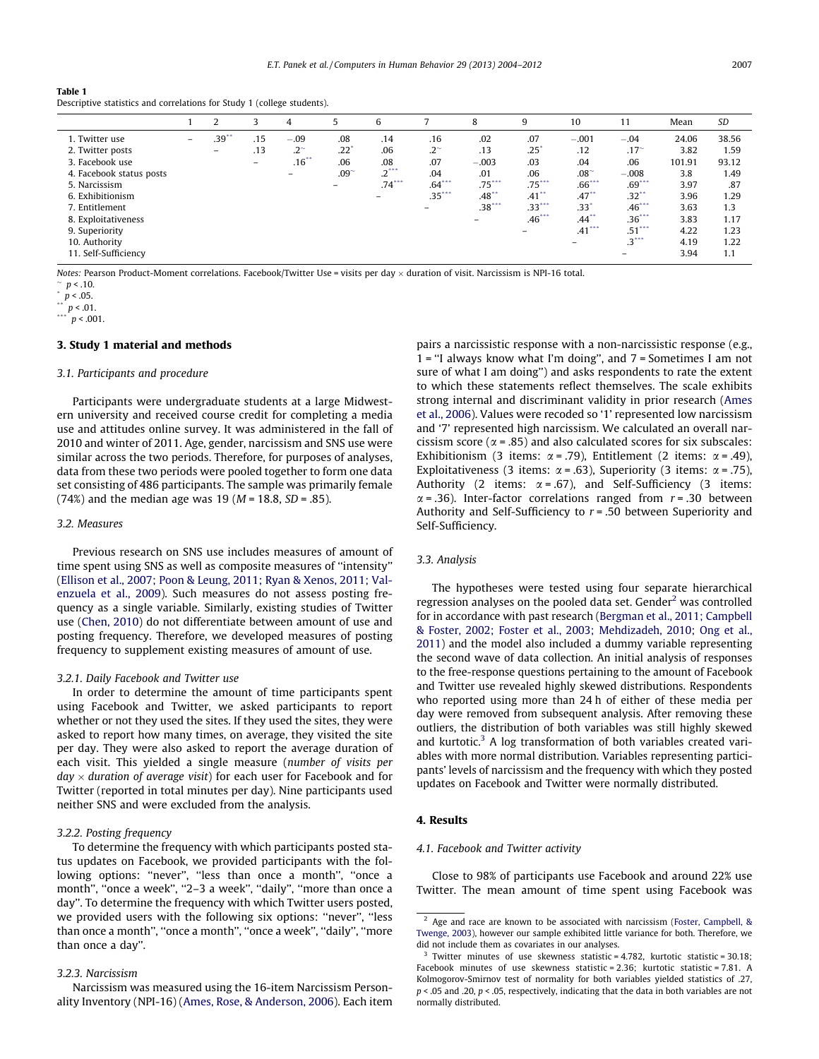#### Table 1

Descriptive statistics and correlations for Study 1 (college students).

|                          |     | $\overline{2}$      |                          | 4                        |                  | 6        |             | 8        | 9                 | 10                  | 11               | Mean   | SD    |
|--------------------------|-----|---------------------|--------------------------|--------------------------|------------------|----------|-------------|----------|-------------------|---------------------|------------------|--------|-------|
| 1. Twitter use           | $-$ | $.39$ <sup>**</sup> | .15                      | $-.09$                   | .08              | .14      | .16         | .02      | .07               | $-.001$             | $-.04$           | 24.06  | 38.56 |
| 2. Twitter posts         |     | $-$                 | .13                      | $.2^{\sim}$              | .22'             | .06      | $.2^{\sim}$ | .13      | .25               | .12                 | .17 <sup>°</sup> | 3.82   | 1.59  |
| 3. Facebook use          |     |                     | $\overline{\phantom{a}}$ | $.16***$                 | .06              | .08      | .07         | $-.003$  | .03               | .04                 | .06              | 101.91 | 93.12 |
| 4. Facebook status posts |     |                     |                          | $\overline{\phantom{0}}$ | .09 <sup>~</sup> | $.2***$  | .04         | .01      | .06               | .08 <sup>~</sup>    | $-.008$          | 3.8    | 1.49  |
| 5. Narcissism            |     |                     |                          |                          |                  | $.74***$ | $.64***$    | $.75***$ | $.75***$          | $.66***$            | $.69***$         | 3.97   | .87   |
| 6. Exhibitionism         |     |                     |                          |                          |                  |          | $.35***$    | $.48***$ | $.41$ **          | $.47***$            | $.32$ **         | 3.96   | 1.29  |
| 7. Entitlement           |     |                     |                          |                          |                  |          |             | $.38***$ | $.33***$          | .33'                | $.46***$         | 3.63   | 1.3   |
| 8. Exploitativeness      |     |                     |                          |                          |                  |          |             | -        | $.46***$          | $.44$ <sup>**</sup> | $.36***$         | 3.83   | 1.17  |
| 9. Superiority           |     |                     |                          |                          |                  |          |             |          | $\qquad \qquad -$ | $.41***$            | $.51***$         | 4.22   | 1.23  |
| 10. Authority            |     |                     |                          |                          |                  |          |             |          |                   |                     | $3***$           | 4.19   | 1.22  |
| 11. Self-Sufficiency     |     |                     |                          |                          |                  |          |             |          |                   |                     | $\equiv$         | 3.94   | 1.1   |

Notes: Pearson Product-Moment correlations. Facebook/Twitter Use = visits per day × duration of visit. Narcissism is NPI-16 total.  $\sim p$  < .10.

\*\*  $p < .01$ .

 $p < .001$ .

## 3. Study 1 material and methods

## 3.1. Participants and procedure

Participants were undergraduate students at a large Midwestern university and received course credit for completing a media use and attitudes online survey. It was administered in the fall of 2010 and winter of 2011. Age, gender, narcissism and SNS use were similar across the two periods. Therefore, for purposes of analyses, data from these two periods were pooled together to form one data set consisting of 486 participants. The sample was primarily female  $(74%)$  and the median age was 19 (*M* = 18.8, *SD* = .85).

## 3.2. Measures

Previous research on SNS use includes measures of amount of time spent using SNS as well as composite measures of ''intensity'' (Ellison et al., 2007; Poon & Leung, 2011; Ryan & Xenos, 2011; Valenzuela et al., 2009). Such measures do not assess posting frequency as a single variable. Similarly, existing studies of Twitter use (Chen, 2010) do not differentiate between amount of use and posting frequency. Therefore, we developed measures of posting frequency to supplement existing measures of amount of use.

#### 3.2.1. Daily Facebook and Twitter use

In order to determine the amount of time participants spent using Facebook and Twitter, we asked participants to report whether or not they used the sites. If they used the sites, they were asked to report how many times, on average, they visited the site per day. They were also asked to report the average duration of each visit. This yielded a single measure (number of visits per  $day \times duration$  of average visit) for each user for Facebook and for Twitter (reported in total minutes per day). Nine participants used neither SNS and were excluded from the analysis.

# 3.2.2. Posting frequency

To determine the frequency with which participants posted status updates on Facebook, we provided participants with the following options: "never", "less than once a month", "once a month", "once a week", "2-3 a week", "daily", "more than once a day''. To determine the frequency with which Twitter users posted, we provided users with the following six options: ''never'', ''less than once a month'', ''once a month'', ''once a week'', ''daily'', ''more than once a day''.

# 3.2.3. Narcissism

Narcissism was measured using the 16-item Narcissism Personality Inventory (NPI-16) (Ames, Rose, & Anderson, 2006). Each item

pairs a narcissistic response with a non-narcissistic response (e.g., 1 = ''I always know what I'm doing'', and 7 = Sometimes I am not sure of what I am doing'') and asks respondents to rate the extent to which these statements reflect themselves. The scale exhibits strong internal and discriminant validity in prior research (Ames et al., 2006). Values were recoded so '1' represented low narcissism and '7' represented high narcissism. We calculated an overall narcissism score ( $\alpha$  = .85) and also calculated scores for six subscales: Exhibitionism (3 items:  $\alpha$  = .79), Entitlement (2 items:  $\alpha$  = .49), Exploitativeness (3 items:  $\alpha$  = .63), Superiority (3 items:  $\alpha$  = .75), Authority (2 items:  $\alpha$  = .67), and Self-Sufficiency (3 items:  $\alpha$  = .36). Inter-factor correlations ranged from  $r$  = .30 between Authority and Self-Sufficiency to  $r = .50$  between Superiority and Self-Sufficiency.

# 3.3. Analysis

The hypotheses were tested using four separate hierarchical regression analyses on the pooled data set. Gender $2$  was controlled for in accordance with past research (Bergman et al., 2011; Campbell & Foster, 2002; Foster et al., 2003; Mehdizadeh, 2010; Ong et al., 2011) and the model also included a dummy variable representing the second wave of data collection. An initial analysis of responses to the free-response questions pertaining to the amount of Facebook and Twitter use revealed highly skewed distributions. Respondents who reported using more than 24 h of either of these media per day were removed from subsequent analysis. After removing these outliers, the distribution of both variables was still highly skewed and kurtotic. $3$  A log transformation of both variables created variables with more normal distribution. Variables representing participants' levels of narcissism and the frequency with which they posted updates on Facebook and Twitter were normally distributed.

# 4. Results

#### 4.1. Facebook and Twitter activity

Close to 98% of participants use Facebook and around 22% use Twitter. The mean amount of time spent using Facebook was

<sup>\*</sup>  $p < .05$ .

<sup>&</sup>lt;sup>2</sup> Age and race are known to be associated with narcissism (Foster, Campbell, & Twenge, 2003), however our sample exhibited little variance for both. Therefore, we did not include them as covariates in our analyses.

<sup>3</sup> Twitter minutes of use skewness statistic = 4.782, kurtotic statistic = 30.18; Facebook minutes of use skewness statistic = 2.36; kurtotic statistic = 7.81. A Kolmogorov-Smirnov test of normality for both variables yielded statistics of .27,  $p < .05$  and .20,  $p < .05$ , respectively, indicating that the data in both variables are not normally distributed.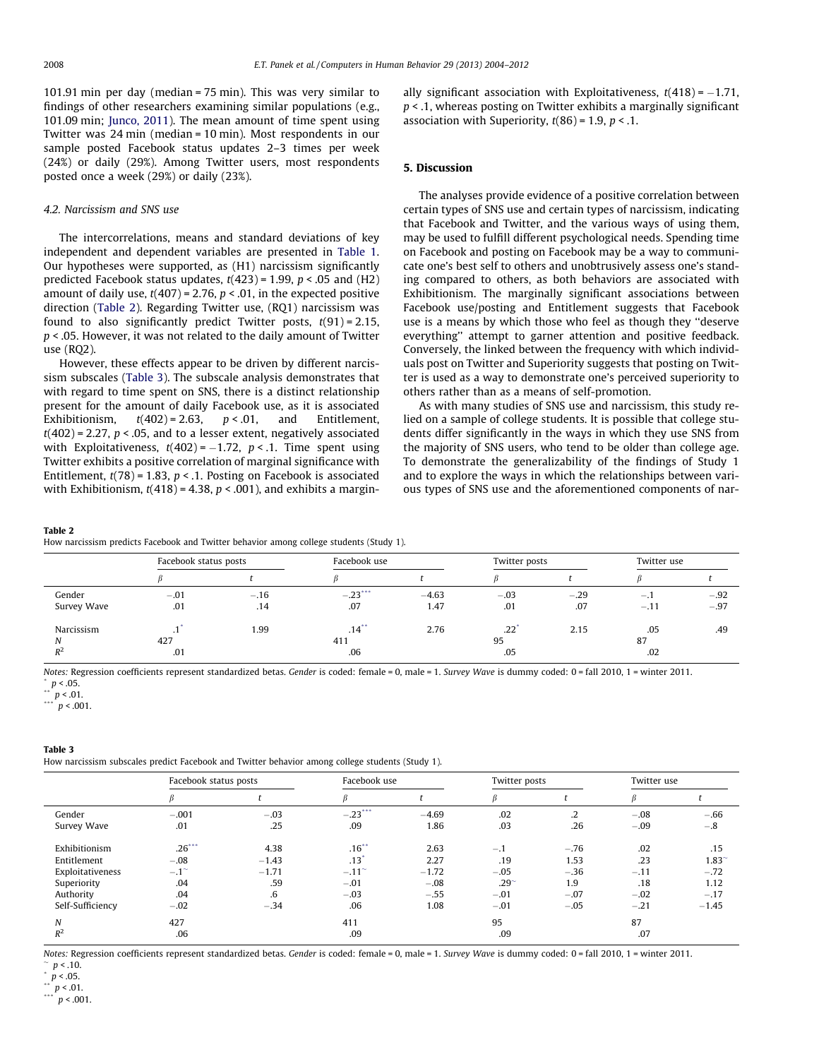101.91 min per day (median = 75 min). This was very similar to findings of other researchers examining similar populations (e.g., 101.09 min; Junco, 2011). The mean amount of time spent using Twitter was 24 min (median = 10 min). Most respondents in our sample posted Facebook status updates 2–3 times per week (24%) or daily (29%). Among Twitter users, most respondents posted once a week (29%) or daily (23%).

## 4.2. Narcissism and SNS use

The intercorrelations, means and standard deviations of key independent and dependent variables are presented in Table 1. Our hypotheses were supported, as (H1) narcissism significantly predicted Facebook status updates,  $t(423)$  = 1.99,  $p < .05$  and (H2) amount of daily use,  $t(407) = 2.76$ ,  $p < .01$ , in the expected positive direction (Table 2). Regarding Twitter use, (RQ1) narcissism was found to also significantly predict Twitter posts,  $t(91) = 2.15$ ,  $p$  < .05. However, it was not related to the daily amount of Twitter use (RQ2).

However, these effects appear to be driven by different narcissism subscales (Table 3). The subscale analysis demonstrates that with regard to time spent on SNS, there is a distinct relationship present for the amount of daily Facebook use, as it is associated Exhibitionism,  $t(402) = 2.63$ ,  $p < .01$ , and Entitlement,  $t(402)$  = 2.27,  $p < .05$ , and to a lesser extent, negatively associated with Exploitativeness,  $t(402) = -1.72$ ,  $p < 0.1$ . Time spent using Twitter exhibits a positive correlation of marginal significance with Entitlement,  $t(78)$  = 1.83,  $p < 0.1$ . Posting on Facebook is associated with Exhibitionism,  $t(418) = 4.38$ ,  $p < .001$ ), and exhibits a margin-

ally significant association with Exploitativeness,  $t(418) = -1.71$ ,  $p < 1$ , whereas posting on Twitter exhibits a marginally significant association with Superiority,  $t(86) = 1.9$ ,  $p < 1.1$ .

# 5. Discussion

The analyses provide evidence of a positive correlation between certain types of SNS use and certain types of narcissism, indicating that Facebook and Twitter, and the various ways of using them, may be used to fulfill different psychological needs. Spending time on Facebook and posting on Facebook may be a way to communicate one's best self to others and unobtrusively assess one's standing compared to others, as both behaviors are associated with Exhibitionism. The marginally significant associations between Facebook use/posting and Entitlement suggests that Facebook use is a means by which those who feel as though they ''deserve everything'' attempt to garner attention and positive feedback. Conversely, the linked between the frequency with which individuals post on Twitter and Superiority suggests that posting on Twitter is used as a way to demonstrate one's perceived superiority to others rather than as a means of self-promotion.

As with many studies of SNS use and narcissism, this study relied on a sample of college students. It is possible that college students differ significantly in the ways in which they use SNS from the majority of SNS users, who tend to be older than college age. To demonstrate the generalizability of the findings of Study 1 and to explore the ways in which the relationships between various types of SNS use and the aforementioned components of nar-

#### Table 2

How narcissism predicts Facebook and Twitter behavior among college students (Study 1).

|                          | Facebook status posts |               | Facebook use           |                 | Twitter posts                |               | Twitter use      |                  |
|--------------------------|-----------------------|---------------|------------------------|-----------------|------------------------------|---------------|------------------|------------------|
|                          |                       |               |                        |                 |                              |               |                  |                  |
| Gender<br>Survey Wave    | $-.01$<br>.01         | $-.16$<br>.14 | $-.23$ $111$<br>.07    | $-4.63$<br>1.47 | $-.03$<br>.01                | $-.29$<br>.07 | $-.1$<br>$-.11$  | $-.92$<br>$-.97$ |
| Narcissism<br>N<br>$R^2$ | 427<br>.01            | 1.99          | $.14$ **<br>411<br>.06 | 2.76            | $.22^{\degree}$<br>95<br>.05 | 2.15          | .05<br>87<br>.02 | .49              |

Notes: Regression coefficients represent standardized betas. Gender is coded: female = 0, male = 1. Survey Wave is dummy coded: 0 = fall 2010, 1 = winter 2011.  $p < 0.05$ .

\*\*  $p < .01$ .

 $p < .001$ .

#### Table 3

How narcissism subscales predict Facebook and Twitter behavior among college students (Study 1).

|                  | Facebook status posts |         | Facebook use |         | Twitter posts |        | Twitter use |               |
|------------------|-----------------------|---------|--------------|---------|---------------|--------|-------------|---------------|
|                  |                       |         |              |         |               |        |             |               |
| Gender           | $-.001$               | $-.03$  | $-.23***$    | $-4.69$ | .02           | .2     | $-.08$      | $-.66$        |
| Survey Wave      | .01                   | .25     | .09          | 1.86    | .03           | .26    | $-.09$      | $-.8$         |
| Exhibitionism    | $.26***$              | 4.38    | $.16***$     | 2.63    | $-.1$         | $-.76$ | .02         | .15           |
| Entitlement      | $-.08$                | $-1.43$ | .13'         | 2.27    | .19           | 1.53   | .23         | $1.83^{\sim}$ |
| Exploitativeness | $-.1^\sim$            | $-1.71$ | $-.11^\sim$  | $-1.72$ | $-.05$        | $-.36$ | $-.11$      | $-.72$        |
| Superiority      | .04                   | .59     | $-.01$       | $-.08$  | .29 $\degree$ | 1.9    | .18         | 1.12          |
| Authority        | .04                   | .6      | $-.03$       | $-.55$  | $-.01$        | $-.07$ | $-.02$      | $-.17$        |
| Self-Sufficiency | $-.02$                | $-.34$  | .06          | 1.08    | $-.01$        | $-.05$ | $-.21$      | $-1.45$       |
| N                | 427                   |         | 411          |         | 95            |        | 87          |               |
| $R^2$            | .06                   |         | .09          |         | .09           |        | .07         |               |

Notes: Regression coefficients represent standardized betas. Gender is coded: female = 0, male = 1. Survey Wave is dummy coded: 0 = fall 2010, 1 = winter 2011.  $p < 10$ .

 $p < 0.05$ .

\*\*  $p < .01$ .  $p < .001$ .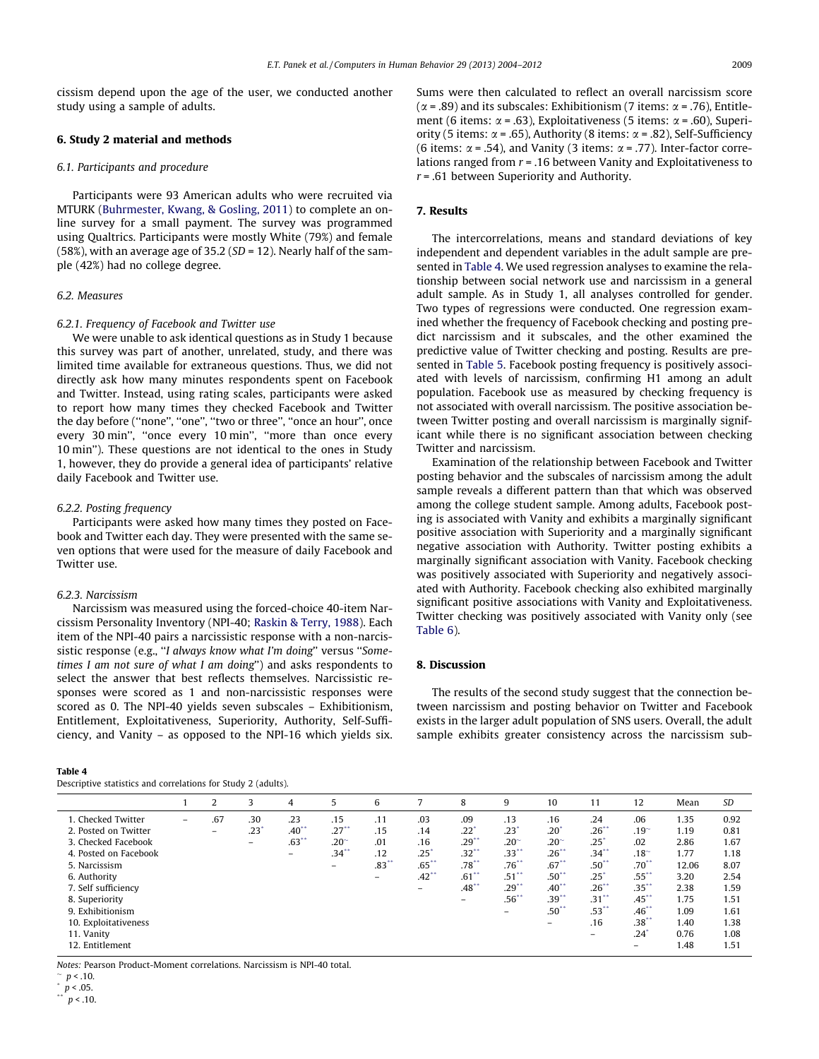cissism depend upon the age of the user, we conducted another study using a sample of adults.

## 6. Study 2 material and methods

## 6.1. Participants and procedure

Participants were 93 American adults who were recruited via MTURK (Buhrmester, Kwang, & Gosling, 2011) to complete an online survey for a small payment. The survey was programmed using Qualtrics. Participants were mostly White (79%) and female (58%), with an average age of 35.2 ( $SD = 12$ ). Nearly half of the sample (42%) had no college degree.

# 6.2. Measures

## 6.2.1. Frequency of Facebook and Twitter use

We were unable to ask identical questions as in Study 1 because this survey was part of another, unrelated, study, and there was limited time available for extraneous questions. Thus, we did not directly ask how many minutes respondents spent on Facebook and Twitter. Instead, using rating scales, participants were asked to report how many times they checked Facebook and Twitter the day before ("none", "one", "two or three", "once an hour", once every 30 min'', ''once every 10 min'', ''more than once every 10 min''). These questions are not identical to the ones in Study 1, however, they do provide a general idea of participants' relative daily Facebook and Twitter use.

## 6.2.2. Posting frequency

Participants were asked how many times they posted on Facebook and Twitter each day. They were presented with the same seven options that were used for the measure of daily Facebook and Twitter use.

# 6.2.3. Narcissism

Narcissism was measured using the forced-choice 40-item Narcissism Personality Inventory (NPI-40; Raskin & Terry, 1988). Each item of the NPI-40 pairs a narcissistic response with a non-narcissistic response (e.g., ''I always know what I'm doing'' versus ''Sometimes I am not sure of what I am doing'') and asks respondents to select the answer that best reflects themselves. Narcissistic responses were scored as 1 and non-narcissistic responses were scored as 0. The NPI-40 yields seven subscales – Exhibitionism, Entitlement, Exploitativeness, Superiority, Authority, Self-Sufficiency, and Vanity – as opposed to the NPI-16 which yields six.

| . . |  |
|-----|--|
|-----|--|

Descriptive statistics and correlations for Study 2 (adults).

Sums were then calculated to reflect an overall narcissism score  $(\alpha = .89)$  and its subscales: Exhibitionism (7 items:  $\alpha = .76$ ). Entitlement (6 items:  $\alpha$  = .63), Exploitativeness (5 items:  $\alpha$  = .60), Superiority (5 items:  $\alpha$  = .65), Authority (8 items:  $\alpha$  = .82), Self-Sufficiency (6 items:  $\alpha$  = .54), and Vanity (3 items:  $\alpha$  = .77). Inter-factor correlations ranged from  $r = .16$  between Vanity and Exploitativeness to  $r = .61$  between Superiority and Authority.

# 7. Results

The intercorrelations, means and standard deviations of key independent and dependent variables in the adult sample are presented in Table 4. We used regression analyses to examine the relationship between social network use and narcissism in a general adult sample. As in Study 1, all analyses controlled for gender. Two types of regressions were conducted. One regression examined whether the frequency of Facebook checking and posting predict narcissism and it subscales, and the other examined the predictive value of Twitter checking and posting. Results are presented in Table 5. Facebook posting frequency is positively associated with levels of narcissism, confirming H1 among an adult population. Facebook use as measured by checking frequency is not associated with overall narcissism. The positive association between Twitter posting and overall narcissism is marginally significant while there is no significant association between checking Twitter and narcissism.

Examination of the relationship between Facebook and Twitter posting behavior and the subscales of narcissism among the adult sample reveals a different pattern than that which was observed among the college student sample. Among adults, Facebook posting is associated with Vanity and exhibits a marginally significant positive association with Superiority and a marginally significant negative association with Authority. Twitter posting exhibits a marginally significant association with Vanity. Facebook checking was positively associated with Superiority and negatively associated with Authority. Facebook checking also exhibited marginally significant positive associations with Vanity and Exploitativeness. Twitter checking was positively associated with Vanity only (see Table 6).

# 8. Discussion

The results of the second study suggest that the connection between narcissism and posting behavior on Twitter and Facebook exists in the larger adult population of SNS users. Overall, the adult sample exhibits greater consistency across the narcissism sub-

|                                                                                                                                                                      |                          |                                 | 3                | 4                               | 5                                                                          | 6                                           |                                                                   | 8                                                                                                   | 9                                                                                                   | 10                                                                                     | 11                                                            | 12                                                                                                              | Mean                                                          | <b>SD</b>                                                    |
|----------------------------------------------------------------------------------------------------------------------------------------------------------------------|--------------------------|---------------------------------|------------------|---------------------------------|----------------------------------------------------------------------------|---------------------------------------------|-------------------------------------------------------------------|-----------------------------------------------------------------------------------------------------|-----------------------------------------------------------------------------------------------------|----------------------------------------------------------------------------------------|---------------------------------------------------------------|-----------------------------------------------------------------------------------------------------------------|---------------------------------------------------------------|--------------------------------------------------------------|
| 1. Checked Twitter<br>2. Posted on Twitter<br>3. Checked Facebook<br>4. Posted on Facebook<br>5. Narcissism<br>6. Authority<br>7. Self sufficiency<br>8. Superiority | $\overline{\phantom{m}}$ | .67<br>$\overline{\phantom{0}}$ | .30<br>.23'<br>- | .23<br>$.40**$<br>$.63***$<br>- | .15<br>$.27***$<br>.20 <sup>0</sup><br>$.34**$<br>$\overline{\phantom{0}}$ | .11<br>.15<br>.01<br>.12<br>$.83***$<br>$-$ | .03<br>.14<br>.16<br>$.25^{\degree}$<br>$.65***$<br>$.42***$<br>- | .09<br>$.22^{\degree}$<br>$.29$ **<br>$.32***$<br>.78<br>$.61**$<br>.48<br>$\overline{\phantom{0}}$ | .13<br>$.23^{\circ}$<br>.20 $\sim$<br>.33<br>$.76**$<br>$.51$ **<br>$.29$ <sup>**</sup><br>$.56***$ | .16<br>.20<br>.20 <sup>~</sup><br>$.26**$<br>$.67**$<br>$.50**$<br>$.40**$<br>$.39***$ | .24<br>.26<br>.25"<br>.34<br>$.50^{**}$<br>.25"<br>.26<br>.31 | .06<br>.19 <sup>°</sup><br>.02<br>.18 <sup>~</sup><br>$.70^{**}$<br>$.55$ **<br>$.35***$<br>$.45$ <sup>**</sup> | 1.35<br>1.19<br>2.86<br>1.77<br>12.06<br>3.20<br>2.38<br>1.75 | 0.92<br>0.81<br>1.67<br>1.18<br>8.07<br>2.54<br>1.59<br>1.51 |
| 9. Exhibitionism<br>10. Exploitativeness                                                                                                                             |                          |                                 |                  |                                 |                                                                            |                                             |                                                                   |                                                                                                     | $\overline{\phantom{0}}$                                                                            | $.50^{**}$<br>-                                                                        | $.53$ **<br>.16<br>$-$                                        | .46<br>.38                                                                                                      | 1.09<br>1.40                                                  | 1.61<br>1.38                                                 |
| 11. Vanity<br>12. Entitlement                                                                                                                                        |                          |                                 |                  |                                 |                                                                            |                                             |                                                                   |                                                                                                     |                                                                                                     |                                                                                        |                                                               | .24"                                                                                                            | 0.76<br>1.48                                                  | 1.08<br>1.51                                                 |
|                                                                                                                                                                      |                          |                                 |                  |                                 |                                                                            |                                             |                                                                   |                                                                                                     |                                                                                                     |                                                                                        |                                                               | $\overline{\phantom{0}}$                                                                                        |                                                               |                                                              |

Notes: Pearson Product-Moment correlations. Narcissism is NPI-40 total.

 $\degree$  p < .10.

 $p < .05$ .

 $p < .10.$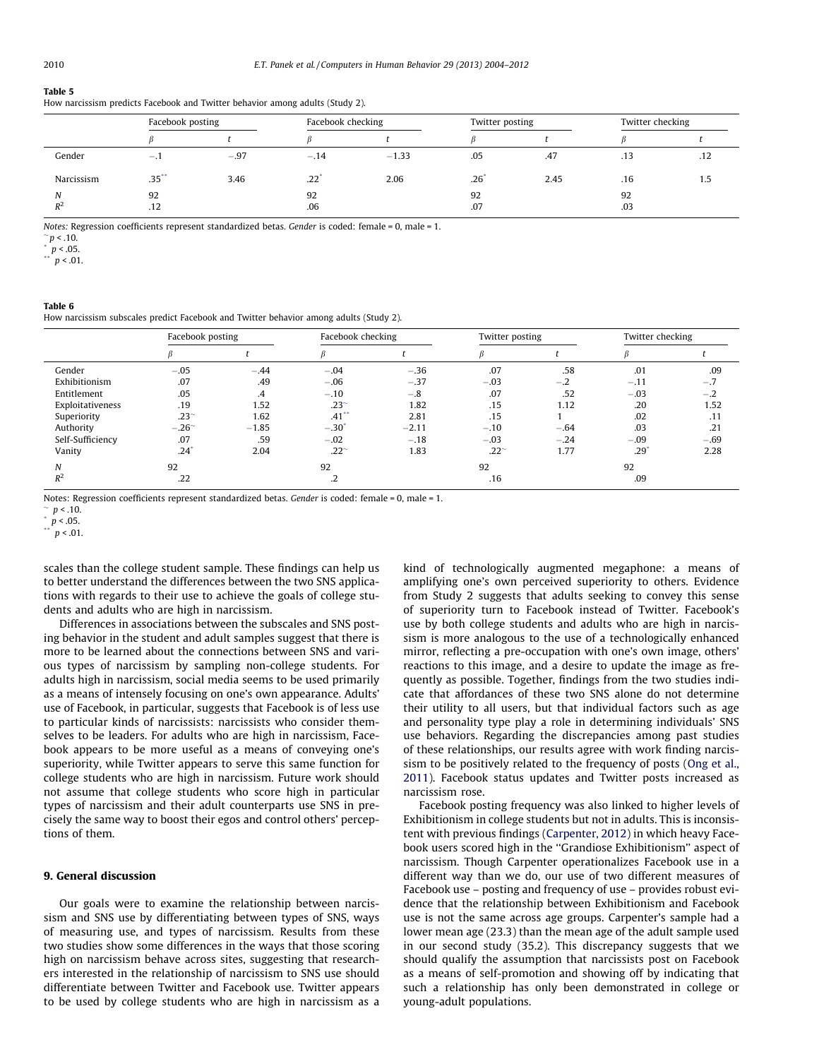#### Table 5

| How narcissism predicts Facebook and Twitter behavior among adults (Study 2). |
|-------------------------------------------------------------------------------|
|-------------------------------------------------------------------------------|

|                      | Facebook posting |        |           | Facebook checking |             | Twitter posting | Twitter checking |      |  |
|----------------------|------------------|--------|-----------|-------------------|-------------|-----------------|------------------|------|--|
|                      |                  |        |           |                   |             |                 |                  |      |  |
| Gender               | $-1$             | $-.97$ | $-.14$    | $-1.33$           | .05         | .47             | .13              | .12  |  |
| Narcissism           | $.35***$         | 3.46   | $.22^{*}$ | 2.06              | $.26^\circ$ | 2.45            | .16              | כ. ו |  |
| D <sub>2</sub><br>л. | 92<br>.12        |        | 92<br>.06 |                   | 92<br>.07   |                 | 92<br>.03        |      |  |

Notes: Regression coefficients represent standardized betas. Gender is coded: female = 0, male = 1.

 $\degree p$  < .10.

 $\sum_{n=1}^{n} p < .05$ .

 $p < .01$ .

#### Table 6

How narcissism subscales predict Facebook and Twitter behavior among adults (Study 2).

|                  | Facebook posting |               | Facebook checking   |         | Twitter posting  |        | Twitter checking |        |
|------------------|------------------|---------------|---------------------|---------|------------------|--------|------------------|--------|
|                  |                  |               |                     |         |                  |        |                  |        |
| Gender           | $-.05$           | $-.44$        | $-.04$              | $-.36$  | .07              | .58    | .01              | .09    |
| Exhibitionism    | .07              | .49           | $-.06$              | $-.37$  | $-.03$           | $-.2$  | $-.11$           | $-.7$  |
| Entitlement      | .05              | $\mathcal{A}$ | $-.10$              | $-.8$   | .07              | .52    | $-.03$           | $-.2$  |
| Exploitativeness | .19              | 1.52          | .23 <sup>~</sup>    | 1.82    | .15              | 1.12   | .20              | 1.52   |
| Superiority      | .23 <sup>~</sup> | 1.62          | $.41$ <sup>**</sup> | 2.81    | .15              |        | .02              | .11    |
| Authority        | $-.26^\sim$      | $-1.85$       | $-.30'$             | $-2.11$ | $-.10$           | $-.64$ | .03              | .21    |
| Self-Sufficiency | .07              | .59           | $-.02$              | $-.18$  | $-.03$           | $-.24$ | $-.09$           | $-.69$ |
| Vanity           | $.24^{\degree}$  | 2.04          | $.22^{\sim}$        | 1.83    | .22 <sup>~</sup> | 1.77   | $.29^{\degree}$  | 2.28   |
| N                | 92               |               | 92                  |         | 92               |        | 92               |        |
| $R^2$            | .22              |               | ے.                  |         | .16              |        | .09              |        |

Notes: Regression coefficients represent standardized betas. Gender is coded: female = 0, male = 1.

 $\int_{*}^{\infty} p < .10.$ 

 $p < .05$ .

 $\sqrt[p*]{p}$  < .01.

scales than the college student sample. These findings can help us to better understand the differences between the two SNS applications with regards to their use to achieve the goals of college students and adults who are high in narcissism.

Differences in associations between the subscales and SNS posting behavior in the student and adult samples suggest that there is more to be learned about the connections between SNS and various types of narcissism by sampling non-college students. For adults high in narcissism, social media seems to be used primarily as a means of intensely focusing on one's own appearance. Adults' use of Facebook, in particular, suggests that Facebook is of less use to particular kinds of narcissists: narcissists who consider themselves to be leaders. For adults who are high in narcissism, Facebook appears to be more useful as a means of conveying one's superiority, while Twitter appears to serve this same function for college students who are high in narcissism. Future work should not assume that college students who score high in particular types of narcissism and their adult counterparts use SNS in precisely the same way to boost their egos and control others' perceptions of them.

# 9. General discussion

Our goals were to examine the relationship between narcissism and SNS use by differentiating between types of SNS, ways of measuring use, and types of narcissism. Results from these two studies show some differences in the ways that those scoring high on narcissism behave across sites, suggesting that researchers interested in the relationship of narcissism to SNS use should differentiate between Twitter and Facebook use. Twitter appears to be used by college students who are high in narcissism as a kind of technologically augmented megaphone: a means of amplifying one's own perceived superiority to others. Evidence from Study 2 suggests that adults seeking to convey this sense of superiority turn to Facebook instead of Twitter. Facebook's use by both college students and adults who are high in narcissism is more analogous to the use of a technologically enhanced mirror, reflecting a pre-occupation with one's own image, others' reactions to this image, and a desire to update the image as frequently as possible. Together, findings from the two studies indicate that affordances of these two SNS alone do not determine their utility to all users, but that individual factors such as age and personality type play a role in determining individuals' SNS use behaviors. Regarding the discrepancies among past studies of these relationships, our results agree with work finding narcissism to be positively related to the frequency of posts (Ong et al., 2011). Facebook status updates and Twitter posts increased as narcissism rose.

Facebook posting frequency was also linked to higher levels of Exhibitionism in college students but not in adults. This is inconsistent with previous findings (Carpenter, 2012) in which heavy Facebook users scored high in the ''Grandiose Exhibitionism'' aspect of narcissism. Though Carpenter operationalizes Facebook use in a different way than we do, our use of two different measures of Facebook use – posting and frequency of use – provides robust evidence that the relationship between Exhibitionism and Facebook use is not the same across age groups. Carpenter's sample had a lower mean age (23.3) than the mean age of the adult sample used in our second study (35.2). This discrepancy suggests that we should qualify the assumption that narcissists post on Facebook as a means of self-promotion and showing off by indicating that such a relationship has only been demonstrated in college or young-adult populations.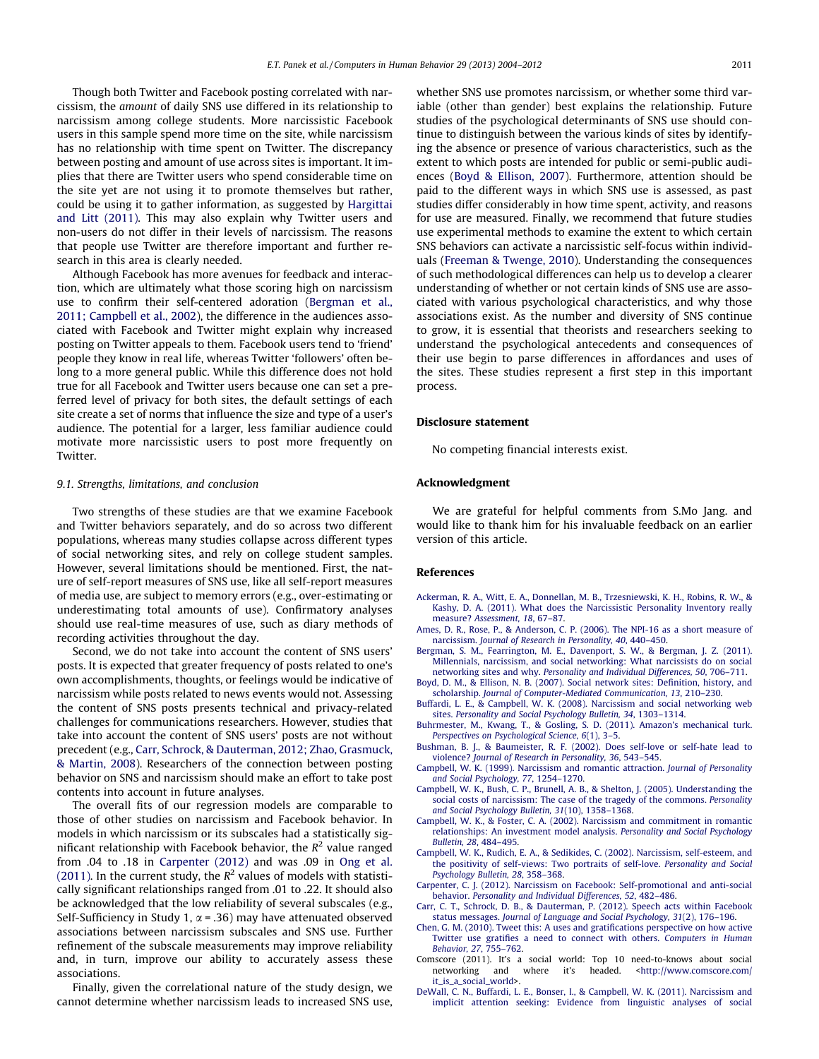Though both Twitter and Facebook posting correlated with narcissism, the amount of daily SNS use differed in its relationship to narcissism among college students. More narcissistic Facebook users in this sample spend more time on the site, while narcissism has no relationship with time spent on Twitter. The discrepancy between posting and amount of use across sites is important. It implies that there are Twitter users who spend considerable time on the site yet are not using it to promote themselves but rather, could be using it to gather information, as suggested by Hargittai and Litt (2011). This may also explain why Twitter users and non-users do not differ in their levels of narcissism. The reasons that people use Twitter are therefore important and further research in this area is clearly needed.

Although Facebook has more avenues for feedback and interaction, which are ultimately what those scoring high on narcissism use to confirm their self-centered adoration (Bergman et al., 2011; Campbell et al., 2002), the difference in the audiences associated with Facebook and Twitter might explain why increased posting on Twitter appeals to them. Facebook users tend to 'friend' people they know in real life, whereas Twitter 'followers' often belong to a more general public. While this difference does not hold true for all Facebook and Twitter users because one can set a preferred level of privacy for both sites, the default settings of each site create a set of norms that influence the size and type of a user's audience. The potential for a larger, less familiar audience could motivate more narcissistic users to post more frequently on Twitter.

## 9.1. Strengths, limitations, and conclusion

Two strengths of these studies are that we examine Facebook and Twitter behaviors separately, and do so across two different populations, whereas many studies collapse across different types of social networking sites, and rely on college student samples. However, several limitations should be mentioned. First, the nature of self-report measures of SNS use, like all self-report measures of media use, are subject to memory errors (e.g., over-estimating or underestimating total amounts of use). Confirmatory analyses should use real-time measures of use, such as diary methods of recording activities throughout the day.

Second, we do not take into account the content of SNS users' posts. It is expected that greater frequency of posts related to one's own accomplishments, thoughts, or feelings would be indicative of narcissism while posts related to news events would not. Assessing the content of SNS posts presents technical and privacy-related challenges for communications researchers. However, studies that take into account the content of SNS users' posts are not without precedent (e.g., Carr, Schrock, & Dauterman, 2012; Zhao, Grasmuck, & Martin, 2008). Researchers of the connection between posting behavior on SNS and narcissism should make an effort to take post contents into account in future analyses.

The overall fits of our regression models are comparable to those of other studies on narcissism and Facebook behavior. In models in which narcissism or its subscales had a statistically significant relationship with Facebook behavior, the  $R^2$  value ranged from .04 to .18 in Carpenter (2012) and was .09 in Ong et al. (2011). In the current study, the  $R^2$  values of models with statistically significant relationships ranged from .01 to .22. It should also be acknowledged that the low reliability of several subscales (e.g., Self-Sufficiency in Study 1,  $\alpha$  = .36) may have attenuated observed associations between narcissism subscales and SNS use. Further refinement of the subscale measurements may improve reliability and, in turn, improve our ability to accurately assess these associations.

Finally, given the correlational nature of the study design, we cannot determine whether narcissism leads to increased SNS use, whether SNS use promotes narcissism, or whether some third variable (other than gender) best explains the relationship. Future studies of the psychological determinants of SNS use should continue to distinguish between the various kinds of sites by identifying the absence or presence of various characteristics, such as the extent to which posts are intended for public or semi-public audiences (Boyd & Ellison, 2007). Furthermore, attention should be paid to the different ways in which SNS use is assessed, as past studies differ considerably in how time spent, activity, and reasons for use are measured. Finally, we recommend that future studies use experimental methods to examine the extent to which certain SNS behaviors can activate a narcissistic self-focus within individuals (Freeman & Twenge, 2010). Understanding the consequences of such methodological differences can help us to develop a clearer understanding of whether or not certain kinds of SNS use are associated with various psychological characteristics, and why those associations exist. As the number and diversity of SNS continue to grow, it is essential that theorists and researchers seeking to understand the psychological antecedents and consequences of their use begin to parse differences in affordances and uses of the sites. These studies represent a first step in this important process.

#### Disclosure statement

No competing financial interests exist.

# Acknowledgment

We are grateful for helpful comments from S.Mo Jang. and would like to thank him for his invaluable feedback on an earlier version of this article.

## References

- Ackerman, R. A., Witt, E. A., Donnellan, M. B., Trzesniewski, K. H., Robins, R. W., & Kashy, D. A. (2011). What does the Narcissistic Personality Inventory really measure? Assessment, 18, 67–87.
- Ames, D. R., Rose, P., & Anderson, C. P. (2006). The NPI-16 as a short measure of narcissism. Journal of Research in Personality, 40, 440–450.
- Bergman, S. M., Fearrington, M. E., Davenport, S. W., & Bergman, J. Z. (2011). Millennials, narcissism, and social networking: What narcissists do on social networking sites and why. Personality and Individual Differences, 50, 706–711.
- Boyd, D. M., & Ellison, N. B. (2007). Social network sites: Definition, history, and scholarship. Journal of Computer-Mediated Communication, 13, 210–230.
- Buffardi, L. E., & Campbell, W. K. (2008). Narcissism and social networking web sites. Personality and Social Psychology Bulletin, 34, 1303–1314.
- Buhrmester, M., Kwang, T., & Gosling, S. D. (2011). Amazon's mechanical turk. Perspectives on Psychological Science, 6(1), 3–5.
- Bushman, B. J., & Baumeister, R. F. (2002). Does self-love or self-hate lead to violence? Journal of Research in Personality, 36, 543–545.
- Campbell, W. K. (1999). Narcissism and romantic attraction. Journal of Personality and Social Psychology, 77, 1254–1270.
- Campbell, W. K., Bush, C. P., Brunell, A. B., & Shelton, J. (2005). Understanding the social costs of narcissism: The case of the tragedy of the commons. Personality and Social Psychology Bulletin, 31(10), 1358–1368.
- Campbell, W. K., & Foster, C. A. (2002). Narcissism and commitment in romantic relationships: An investment model analysis. Personality and Social Psychology Bulletin, 28, 484–495.
- Campbell, W. K., Rudich, E. A., & Sedikides, C. (2002). Narcissism, self-esteem, and the positivity of self-views: Two portraits of self-love. Personality and Social Psychology Bulletin, 28, 358–368.
- Carpenter, C. J. (2012). Narcissism on Facebook: Self-promotional and anti-social behavior. Personality and Individual Differences, 52, 482–486.
- Carr, C. T., Schrock, D. B., & Dauterman, P. (2012). Speech acts within Facebook status messages. Journal of Language and Social Psychology, 31(2), 176–196.
- Chen, G. M. (2010). Tweet this: A uses and gratifications perspective on how active Twitter use gratifies a need to connect with others. Computers in Human Behavior, 27, 755–762.
- Comscore (2011). It's a social world: Top 10 need-to-knows about social networking and where it's headed. <http://www.comscore.com/ <http://www.comscore.com/ it\_is\_a\_social\_world>.
- DeWall, C. N., Buffardi, L. E., Bonser, I., & Campbell, W. K. (2011). Narcissism and implicit attention seeking: Evidence from linguistic analyses of social